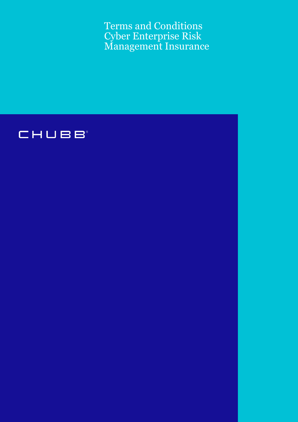Terms and Conditions Cyber Enterprise Risk Management Insurance

# CHUBB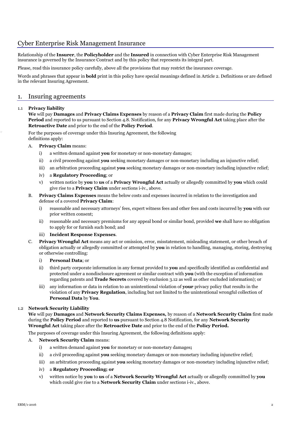## Cyber Enterprise Risk Management Insurance

Relationship of the **Insurer**, the **Policyholder** and the **Insured** in connection with Cyber Enterprise Risk Management insurance is governed by the Insurance Contract and by this policy that represents its integral part.

Please, read this insurance policy carefully, above all the provisions that may restrict the insurance coverage.

Words and phrases that appear in **bold** print in this policy have special meanings defined in Article 2. Definitions or are defined in the relevant Insuring Agreement.

## 1. Insuring agreements

#### 1.1 **Privacy liability**

**We** will pay **Damages** and **Privacy Claims Expenses** by reason of a **Privacy Claim** first made during the **Policy Period** and reported to us pursuant to Section 4.8. Notification, for any **Privacy Wrongful Act** taking place after the **Retroactive Date** and prior to the end of the **Policy Period**.

For the purposes of coverage under this Insuring Agreement, the following definitions apply:

- A. **Privacy Claim** means:
	- i) a written demand against **you** for monetary or non-monetary damages;
	- ii) a civil proceeding against **you** seeking monetary damages or non-monetary including an injunctive relief;
	- iii) an arbitration proceeding against **you** seeking monetary damages or non-monetary including injunctive relief;
	- iv) a **Regulatory Proceeding**; or
	- v) written notice by **you** to **us** of a **Privacy Wrongful Act** actually or allegedly committed by **you** which could give rise to a **Privacy Claim** under sections i-iv., above.
- B. **Privacy Claims Expenses** means the below costs and expenses incurred in relation to the investigation and defense of a covered **Privacy Claim**:
	- i) reasonable and necessary attorneys' fees, expert witness fees and other fees and costs incurred by **you** with our prior written consent;
	- ii) reasonable and necessary premiums for any appeal bond or similar bond, provided **we** shall have no obligation to apply for or furnish such bond; and
	- iii) **Incident Response Expenses**.
- C. **Privacy Wrongful Act** means any act or omission, error, misstatement, misleading statement, or other breach of obligation actually or allegedly committed or attempted by **you** in relation to handling, managing, storing, destroying or otherwise controlling:
	- i) **Personal Data**; or
	- ii) third party corporate information in any format provided to **you** and specifically identified as confidential and protected under a nondisclosure agreement or similar contract with **you** (with the exception of information regarding patents and **Trade Secrets** covered by exclusion 3.12 as well as other excluded information); or
	- iii) any information or data in relation to an unintentional violation of **your** privacy policy that results in the violation of any **Privacy Regulation**, including but not limited to the unintentional wrongful collection of **Personal Data** by **You**.

## 1.2 **Network Security Liability**

**We** will pay **Damages** and **Network Security Claims Expenses,** by reason of a **Network Security Claim** first made during the **Policy Period** and reported to **us** pursuant to Section 4.8 Notification, for any **Network Security Wrongful Act** taking place after the **Retroactive Date** and prior to the end of the **Policy Period.**

The purposes of coverage under this Insuring Agreement, the following definitions apply:

#### A. **Network Security Claim** means:

- i) a written demand against **you** for monetary or non-monetary damages**;**
- ii) a civil proceeding against **you** seeking monetary damages or non-monetary including injunctive relief;
- iii) an arbitration proceeding against **you** seeking monetary damages or non-monetary including injunctive relief;
- iv) a **Regulatory Proceeding; or**
- v) written notice by **you** to **us** of a **Network Security Wrongful Act** actually or allegedly committed by **you** which could give rise to a **Network Security Claim** under sections i-iv., above.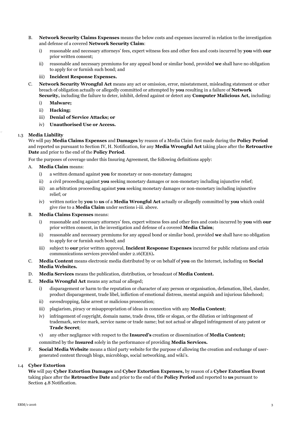- B. **Network Security Claims Expenses** means the below costs and expenses incurred in relation to the investigation and defense of a covered **Network Security Claim**:
	- i) reasonable and necessary attorneys' fees, expert witness fees and other fees and costs incurred by **you** with **our** prior written consent;
	- ii) reasonable and necessary premiums for any appeal bond or similar bond, provided **we** shall have no obligation to apply for or furnish such bond; and

#### iii) **Incident Response Expenses.**

- C. **Network Security Wrongful Act** means any act or omission, error, misstatement, misleading statement or other breach of obligation actually or allegedly committed or attempted by **you** resulting in a failure of **Network** 
	- **Security,** including the failure to deter, inhibit, defend against or detect any **Computer Malicious Act,** including:
	- i) **Malware;**
	- ii) **Hacking;**
	- iii) **Denial of Service Attacks; or**
	- iv) **Unauthorised Use or Access.**

#### 1.3 **Media Liability**

We will pay **Media Claims Expenses** and **Damages** by reason of a Media Claim first made during the **Policy Period** and reported us pursuant to Section IV, H. Notification, for any **Media Wrongful Act** taking place after the **Retroactive Date** and prior to the end of the **Policy Period**.

For the purposes of coverage under this Insuring Agreement, the following definitions apply:

- A. **Media Claim** means:
	- i) a written demand against **you** for monetary or non-monetary damages**;**
	- ii) a civil proceeding against **you** seeking monetary damages or non-monetary including injunctive relief;
	- iii) an arbitration proceeding against **you** seeking monetary damages or non-monetary including injunctive relief; or
	- iv) written notice by **you** to **us** of a **Media Wrongful Act** actually or allegedly committed by **you** which could give rise to a **Media Claim** under sections i-iii. above.

#### B. **Media Claims Expenses** means:

- i) reasonable and necessary attorneys' fees, expert witness fees and other fees and costs incurred by **you** with **our** prior written consent, in the investigation and defense of a covered **Media Claim**;
- ii) reasonable and necessary premiums for any appeal bond or similar bond, provided **we** shall have no obligation to apply for or furnish such bond; and
- iii) subject to **our** prior written approval, **Incident Response Expenses** incurred for public relations and crisis communications services provided under 2.16(E)(6)**.**
- C. **Media Content** means electronic media distributed by or on behalf of **you** on the Internet, including on **Social Media Websites.**
- D. **Media Services** means the publication, distribution, or broadcast of **Media Content.**
- E. **Media Wrongful Act** means any actual or alleged;
	- i) disparagement or harm to the reputation or character of any person or organisation, defamation, libel, slander, product disparagement, trade libel, infliction of emotional distress, mental anguish and injurious falsehood;
	- ii) eavesdropping, false arrest or malicious prosecution;
	- iii) plagiarism, piracy or misappropriation of ideas in connection with any **Media Content**;
	- iv) infringement of copyright, domain name, trade dress, title or slogan, or the dilution or infringement of trademark, service mark, service name or trade name; but not actual or alleged infringement of any patent or **Trade Secret**;
	- v) any other negligence with respect to the **Insured's** creation or dissemination of **Media Content;**
	- committed by the **Insured** solely in the performance of providing **Media Services.**
- F. **Social Media Website** means a third party website for the purpose of allowing the creation and exchange of usergenerated content through blogs, microblogs, social networking, and wiki's.

#### 1.4 **Cyber Extortion**

**We** will pay **Cyber Extortion Damages** and **Cyber Extortion Expenses,** by reason of a **Cyber Extortion Event**  taking place after the **Retroactive Date** and prior to the end of the **Policy Period** and reported to **us** pursuant to Section 4.8 Notification.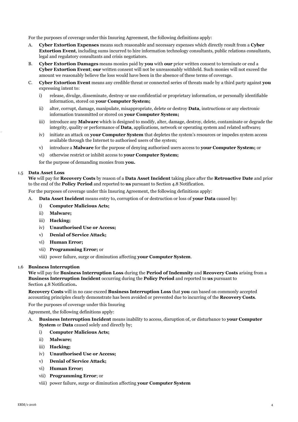For the purposes of coverage under this Insuring Agreement, the following definitions apply:

- A. **Cyber Extortion Expenses** means such reasonable and necessary expenses which directly result from a **Cyber Extortion Event**, including sums incurred to hire information technology consultants, public relations consultants, legal and regulatory consultants and crisis negotiators.
- B. **Cyber Extortion Damages** means monies paid by **you** with **our** prior written consent to terminate or end a **Cyber Extortion Event**; **our** written consent will not be unreasonably withheld. Such monies will not exceed the amount we reasonably believe the loss would have been in the absence of these terms of coverage.
- C. **Cyber Extortion Event** means any credible threat or connected series of threats made by a third party against **you** expressing intent to:
	- i) release, divulge, disseminate, destroy or use confidential or proprietary information, or personally identifiable information, stored on **your Computer System;**
	- ii) alter, corrupt, damage, manipulate, misappropriate, delete or destroy **Data**, instructions or any electronic information transmitted or stored on **your Computer System;**
	- iii) introduce any **Malware** which is designed to modify, alter, damage, destroy, delete, contaminate or degrade the integrity, quality or performance of **Data**, applications, network or operating system and related software**;**
	- iv) initiate an attack on **your Computer System** that depletes the system's resources or impedes system access available through the Internet to authorised users of the system;
	- v) introduce a **Malware** for the purpose of denying authorised users access to **your Computer System;** or
	- vi) otherwise restrict or inhibit access to **your Computer System;**

for the purpose of demanding monies from **you.**

#### 1.5 **Data Asset Loss**

**We** will pay for **Recovery Costs** by reason of a **Data Asset Incident** taking place after the **Retroactive Date** and prior to the end of the **Policy Period** and reported to **us** pursuant to Section 4.8 Notification.

For the purposes of coverage under this Insuring Agreement, the following definitions apply:

- A. **Data Asset Incident** means entry to, corruption of or destruction or loss of **your Data** caused by:
	- i) **Computer Malicious Acts;**
	- ii) **Malware;**
	- iii) **Hacking;**
	- iv) **Unauthorised Use or Access;**
	- v) **Denial of Service Attack;**
	- vi) **Human Error;**
	- vii) **Programming Error;** or
	- viii) power failure, surge or diminution affecting **your Computer System**.

#### 1.6 **Business Interruption**

**We** will pay for **Business Interruption Loss** during the **Period of Indemnity** and **Recovery Costs** arising from a **Business Interruption Incident** occurring during the **Policy Period** and reported to **us** pursuant to Section 4.8 Notification**.** 

**Recovery Costs** will in no case exceed **Business Interruption Loss** that **you** can based on commonly accepted accounting principles clearly demonstrate has been avoided or prevented due to incurring of the **Recovery Costs**.

For the purposes of coverage under this Insuring

Agreement, the following definitions apply:

- A. **Business Interruption Incident** means inability to access, disruption of, or disturbance to **your Computer System** or **Data** caused solely and directly by;
	- i) **Computer Malicious Acts;**
	- ii) **Malware;**
	- iii) **Hacking;**
	- iv) **Unauthorised Use or Access;**
	- v) **Denial of Service Attack;**
	- vi) **Human Error;**
	- vii) **Programming Error**; or
	- viii) power failure, surge or diminution affecting **your Computer System**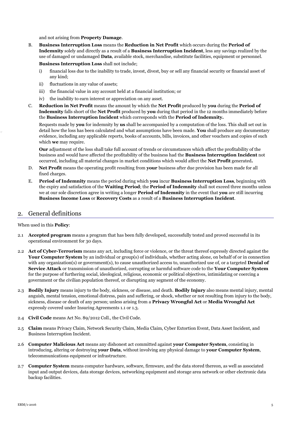and not arising from **Property Damage**.

B. **Business Interruption Loss** means the **Reduction in Net Profit** which occurs during the **Period of Indemnity** solely and directly as a result of a **Business Interruption Incident**, less any savings realized by the use of damaged or undamaged **Data**, available stock, merchandise, substitute facilities, equipment or personnel.

**Business Interruption Loss** shall not include;

- i) financial loss due to the inability to trade, invest, divest, buy or sell any financial security or financial asset of any kind;
- ii) fluctuations in any value of assets;
- iii) the financial value in any account held at a financial institution; or
- iv) the inability to earn interest or appreciation on any asset.
- C. **Reduction in Net Profit** means the amount by which the **Net Profit** produced by **you** during the **Period of Indemnity** falls short of the **Net Profit** produced by **you** during that period in the 12 months immediately before the **Business Interruption Incident** which corresponds with the **Period of Indemnity.**

Requests made by **you** for indemnity by **us** shall be accompanied by a computation of the loss. This shall set out in detail how the loss has been calculated and what assumptions have been made. **You** shall produce any documentary evidence, including any applicable reports, books of accounts, bills, invoices, and other vouchers and copies of such which **we** may require.

**Our** adjustment of the loss shall take full account of trends or circumstances which affect the profitability of the business and would have affected the profitability of the business had the **Business Interruption Incident** not occurred, including all material changes in market conditions which would affect the **Net Profit** generated**.**

- D. **Net Profit** means the operating profit resulting from **your** business after due provision has been made for all fixed charges.
- E. **Period of Indemnity** means the period during which **you** incur **Business Interruption Loss**, beginning with the expiry and satisfaction of the **Waiting Period**; the **Period of Indemnity** shall not exceed three months unless we at our sole discretion agree in writing a longer **Period of Indemnity** in the event that **you** are still incurring **Business Income Loss** or **Recovery Costs** as a result of a **Business Interruption Incident**.

## 2. General definitions

When used in this **Policy**:

- 2.1 **Accepted program** means a program that has been fully developed, successfully tested and proved successful in its operational environment for 30 days.
- 2.2 **Act of Cyber-Terrorism** means any act, including force or violence, or the threat thereof expressly directed against the **Your Computer System** by an individual or group(s) of individuals, whether acting alone, on behalf of or in connection with any organization(s) or government(s), to cause unauthorized access to, unauthorized use of, or a targeted **Denial of Service Attack** or transmission of unauthorized, corrupting or harmful software code to the **Your Computer System** for the purpose of furthering social, ideological, religious, economic or political objectives, intimidating or coercing a government or the civilian population thereof, or disrupting any segment of the economy.
- 2.3 **Bodily Injury** means injury to the body, sickness, or disease, and death. **Bodily Injury** also means mental injury, mental anguish, mental tension, emotional distress, pain and suffering, or shock, whether or not resulting from injury to the body, sickness, disease or death of any person; unless arising from a **Privacy Wrongful Act** or **Media Wrongful Act** expressly covered under Insuring Agreements 1.1 or 1.3.
- 2.4 **Civil Code** means Act No. 89/2012 Coll., the Civil Code.
- 2.5 **Claim** means Privacy Claim, Network Security Claim, Media Claim, Cyber Extortion Event, Data Asset Incident, and Business Interruption Incident.
- 2.6 **Computer Malicious Act** means any dishonest act committed against **your Computer System**, consisting in introducing, altering or destroying **your Data**, without involving any physical damage to **your Computer System**, telecommunications equipment or infrastructure.
- 2.7 **Computer System** means computer hardware, software, firmware, and the data stored thereon, as well as associated input and output devices, data storage devices, networking equipment and storage area network or other electronic data backup facilities.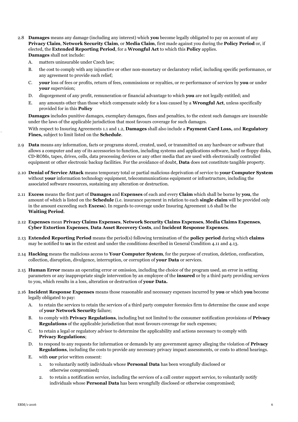- 2.8 **Damages** means any damage (including any interest) which **you** become legally obligated to pay on account of any **Privacy Claim**, **Network Security Claim**, or **Media Claim**, first made against you during the **Policy Period** or, if elected, the **Extended Reporting Period**, for a **Wrongful Act** to which this **Policy** applies. **Damages** shall not include:
	- A. matters uninsurable under Czech law;
	- B. the cost to comply with any injunctive or other non-monetary or declaratory relief, including specific performance, or any agreement to provide such relief;
	- C. **your** loss of fees or profits, return of fees, commissions or royalties, or re-performance of services by **you** or under **your** supervision;
	- D. disgorgement of any profit, remuneration or financial advantage to which **you** are not legally entitled; and
	- E. any amounts other than those which compensate solely for a loss caused by a **Wrongful Act**, unless specifically provided for in this **Policy**

**Damages** includes punitive damages, exemplary damages, fines and penalties, to the extent such damages are insurable under the laws of the applicable jurisdiction that most favours coverage for such damages.

With respect to Insuring Agreements 1.1 and 1.2, **Damages** shall also include a **Payment Card Loss,** and **Regulatory Fines,** subject to limit listed on the **Schedule**.

- 2.9 **Data** means any information, facts or programs stored, created, used, or transmitted on any hardware or software that allows a computer and any of its accessories to function, including systems and applications software, hard or floppy disks, CD-ROMs, tapes, drives, cells, data processing devices or any other media that are used with electronically controlled equipment or other electronic backup facilities. For the avoidance of doubt, **Data** does not constitute tangible property.
- 2.10 **Denial of Service Attack** means temporary total or partial malicious deprivation of service to **your Computer System** without **your** information technology equipment, telecommunications equipment or infrastructure, including the associated software resources, sustaining any alteration or destruction.
- 2.11 **Excess** means the first part of **Damages** and **Expenses** of each and every **Claim** which shall be borne by **you**, the amount of which is listed on the **Schedule** (i.e. insurance payment in relation to each **single claim** will be provided only in the amount exceeding such **Excess**). In regards to coverage under Insuring Agreement 1.6 shall be the **Waiting Period**.
- 2.12 **Expenses** mean **Privacy Claims Expenses**, **Network Security Claims Expenses**, **Media Claims Expenses**, **Cyber Extortion Expenses**, **Data Asset Recovery Costs**, and **Incident Response Expenses**.
- 2.13 **Extended Reporting Period** means the period(s) following termination of the **policy period** during which **claims** may be notified to **us** in the extent and under the conditions described in General Condition 4.11 and 4.13.
- 2.14 **Hacking** means the malicious access to **Your Computer System**, for the purpose of creation, deletion, confiscation, collection, disruption, divulgence, interruption, or corruption of **your Data** or services.
- 2.15 **Human Error** means an operating error or omission, including the choice of the program used, an error in setting parameters or any inappropriate single intervention by an employee of the **insured** or by a third party providing services to you, which results in a loss, alteration or destruction of **your Data.**
- 2.16 **Incident Response Expenses** means those reasonable and necessary expenses incurred by **you** or which **you** become legally obligated to pay:
	- A. to retain the services to retain the services of a third party computer forensics firm to determine the cause and scope of **your Network Security** failure;
	- B. to comply with **Privacy Regulations**, including but not limited to the consumer notification provisions of **Privacy Regulations** of the applicable jurisdiction that most favours coverage for such expenses;
	- C. to retain a legal or regulatory advisor to determine the applicability and actions necessary to comply with **Privacy Regulations**;
	- D. to respond to any requests for information or demands by any government agency alleging the violation of **Privacy Regulations**, including the costs to provide any necessary privacy impact assessments, or costs to attend hearings.
	- E. with **our** prior written consent:
		- 1. to voluntarily notify individuals whose **Personal Data** has been wrongfully disclosed or otherwise compromised**;**
		- 2. to retain a notification service, including the services of a call center support service, to voluntarily notify individuals whose **Personal Data** has been wrongfully disclosed or otherwise compromised;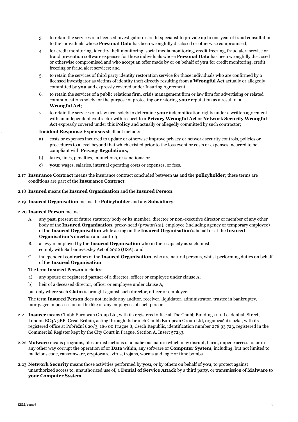- 3. to retain the services of a licensed investigator or credit specialist to provide up to one year of fraud consultation to the individuals whose **Personal Data** has been wrongfully disclosed or otherwise compromised;
- 4. for credit monitoring, identity theft monitoring, social media monitoring, credit freezing, fraud alert service or fraud prevention software expenses for those individuals whose **Personal Data** has been wrongfully disclosed or otherwise compromised and who accept an offer made by or on behalf of **you** for credit monitoring, credit freezing or fraud alert services; and
- 5. to retain the services of third party identity restoration service for those individuals who are confirmed by a licensed investigator as victims of identity theft directly resulting from a **Wrongful Act** actually or allegedly committed by **you** and expressly covered under Insuring Agreement
- 6. to retain the services of a public relations firm, crisis management firm or law firm for advertising or related communications solely for the purpose of protecting or restoring **your** reputation as a result of a **Wrongful Act**;
- 7. to retain the services of a law firm solely to determine **your** indemnification rights under a written agreement with an independent contractor with respect to a **Privacy Wrongful Act** or **Network Security Wrongful Act** expressly covered under this **Policy** and actually or allegedly committed by such contractor;

#### **Incident Response Expenses** shall not include:

- a) costs or expenses incurred to update or otherwise improve privacy or network security controls, policies or procedures to a level beyond that which existed prior to the loss event or costs or expenses incurred to be compliant with **Privacy Regulations**;
- b) taxes, fines, penalties, injunctions, or sanctions; or
- c) **your** wages, salaries, internal operating costs or expenses, or fees.
- 2.17 **Insurance Contract** means the insurance contract concluded between **us** and the **policyholder**; these terms are conditions are part of the **Insurance Contract**.

#### 2.18 **Insured** means the **Insured Organisation** and the **Insured Person**.

2.19 **Insured Organisation** means the **Policyholder** and any **Subsidiary**.

#### 2.20 **Insured Person** means:

- A. any past, present or future statutory body or its member, director or non-executive director or member of any other body of the **Insured Organisation**, proxy-head (*prokurista*), employee (including agency or temporary employee) of the **Insured Organisation** while acting on the **Insured Organisation's** behalf or at the **Insured Organisation's** direction and control**;**
- B. a lawyer employed by the **Insured Organisation** who in their capacity as such must comply with Sarbanes-Oxley Act of 2002 (USA); and
- C. independent contractors of the **Insured Organisation,** who are natural persons, whilst performing duties on behalf of the **Insured Organisation**.

#### The term **Insured Person** includes:

- a) any spouse or registered partner of a director, officer or employee under clause A;
- b) heir of a deceased director, officer or employee under clause A,

but only where such **Claim** is brought against such director, officer or employee.

The term **Insured Person** does not include any auditor, receiver, liquidator, administrator, trustee in bankruptcy, mortgagee in possession or the like or any employees of such person.

- 2.21 **Insurer** means Chubb European Group Ltd, with its registered office at The Chubb Building 100, Leadenhall Street, London EC3A 3BP, Great Britain, acting through its branch Chubb European Group Ltd, organizační složka, with its registered office at Pobřežní 620/3, 186 00 Prague 8, Czech Republic, identification number 278 93 723, registered in the Commercial Register kept by the City Court in Prague, Section A, Insert 57233.
- 2.22 **Malware** means programs, files or instructions of a malicious nature which may disrupt, harm, impede access to, or in any other way corrupt the operation of or **Data** within, any software or **Computer System**, including, but not limited to malicious code, ransomware, cryptoware, virus, trojans, worms and logic or time bombs.
- 2.23 **Network Security** means those activities performed by **you**, or by others on behalf of **you**, to protect against unauthorized access to, unauthorized use of, a **Denial of Service Attack** by a third party, or transmission of **Malware** to **your Computer System**.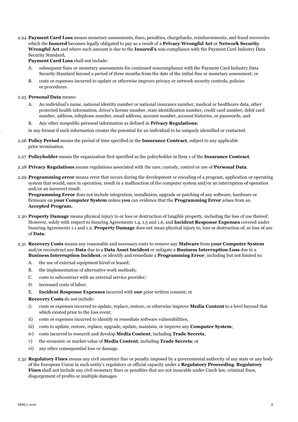2.24 **Payment Card Loss** means monetary assessments, fines, penalties, chargebacks, reimbursements, and fraud recoveries which the **Insured** becomes legally obligated to pay as a result of a **Privacy Wrongful Act** or **Network Security Wrongful Act** and where such amount is due to the **Insured's** non-compliance with the Payment Card Industry Data Security Standard**.**

**Payment Card Loss** shall not include:

- A. subsequent fines or monetary assessments for continued noncompliance with the Payment Card Industry Data Security Standard beyond a period of three months from the date of the initial fine or monetary assessment; or
- B. costs or expenses incurred to update or otherwise improve privacy or network security controls, policies or procedures.

#### 2.25 **Personal Data** means:

- A. An individual's name, national identity number or national insurance number, medical or healthcare data, other protected health information, driver's license number, state identification number, credit card number, debit card number, address, telephone number, email address, account number, account histories, or passwords; and
- B. Any other nonpublic personal information as defined in **Privacy Regulations**;
- in any format if such information creates the potential for an individual to be uniquely identified or contacted.
- 2.26 **Policy Period** means the period of time specified in the **Insurance Contract**, subject to any applicable prior termination.
- 2.27 **Policyholder** means the organization first specified as the policyholder in Item 1 of the **Insurance Contract**.
- 2.28 **Privacy Regulations** means regulations associated with the care, custody, control or use of **Personal Data**.
- 2.29 **Programming error** means error that occurs during the development or encoding of a program, application or operating system that would, once in operation, result in a malfunction of the computer system and/or an interruption of operation and/or an incorrect result.

**Programming Error** does not include integration, installation, upgrade or patching of any software, hardware or firmware on **your Computer System** unless **you** can evidence that the **Programming Error** arises from an **Accepted Program.**

- 2.30 **Property Damage** means physical injury to or loss or destruction of tangible property, including the loss of use thereof. However, solely with respect to Insuring Agreements 1.4, 1.5 and 1.6, and **Incident Response Expenses** covered under Insuring Agreements 1.1 and 1.2, **Property Damage** does not mean physical injury to, loss or destruction of, or loss of use of **Data**.
- 2.31 **Recovery Costs** means any reasonable and necessary costs to remove any **Malware** from **your Computer System** and/or reconstruct any **Data** due to a **Data Asset Incident** or mitigate a **Business Interruption Loss** due to a **Business Interruption Incident**, or identify and remediate a **Programming Error**; including but not limited to:
	- A. the use of external equipment hired or leased;
	- B. the implementation of alternative work methods;
	- C. costs to subcontract with an external service provider;
	- D. increased costs of labor;
	- E. **Incident Response Expenses** incurred with **our** prior written consent; or

#### **Recovery Costs** do not include:

- i) costs or expenses incurred to update, replace, restore, or otherwise improve **Media Content** to a level beyond that which existed prior to the loss event;
- ii) costs or expenses incurred to identify or remediate software vulnerabilities,
- iii) costs to update, restore, replace, upgrade, update, maintain, or improve any **Computer System**;
- iv) costs incurred to research and develop **Media Content**, including **Trade Secrets**;
- v) the economic or market value of **Media Content**, including **Trade Secrets**; or
- vi) any other consequential loss or damage.
- 2.32 **Regulatory Fines** means any civil monetary fine or penalty imposed by a governmental authority of any state or any body of the European Union in such entity's regulatory or official capacity under a **Regulatory Proceeding**. **Regulatory Fines** shall not include any civil monetary fines or penalties that are not insurable under Czech law, criminal fines, disgorgement of profits or multiple damages.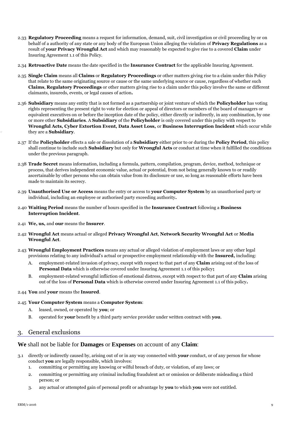- 2.33 **Regulatory Proceeding** means a request for information, demand, suit, civil investigation or civil proceeding by or on behalf of a authority of any state or any body of the European Union alleging the violation of **Privacy Regulations** as a result of **your Privacy Wrongful Act** and which may reasonably be expected to give rise to a covered **Claim** under Insuring Agreement 1.1 of this Policy.
- 2.34 **Retroactive Date** means the date specified in the **Insurance Contract** for the applicable Insuring Agreement.
- 2.35 **Single Claim** means all **Claims** or **Regulatory Proceedings** or other matters giving rise to a claim under this Policy that relate to the same originating source or cause or the same underlying source or cause, regardless of whether such **Claims**, **Regulatory Proceedings** or other matters giving rise to a claim under this policy involve the same or different claimants, insureds, events, or legal causes of action**.**
- 2.36 **Subsidiary** means any entity that is not formed as a partnership or joint venture of which the **Policyholder** has voting rights representing the present right to vote for election or appeal of directors or members of the board of managers or equivalent executives on or before the inception date of the policy, either directly or indirectly, in any combination, by one or more other **Subsidiaries**. A **Subsidiary** of the **Policyholder** is only covered under this policy with respect to **Wrongful Acts, Cyber Extortion Event, Data Asset Loss,** or **Business Interruption Incident** which occur while they are a **Subsidiary**.
- 2.37 If the **Policyholder** effects a sale or dissolution of a **Subsidiary** either prior to or during the **Policy Period**, this policy shall continue to include such **Subsidiary** but only for **Wrongful Acts** or conduct at time when it fulfilled the conditions under the previous paragraph.
- 2.38 **Trade Secret** means information, including a formula, pattern, compilation, program, device, method, technique or process, that derives independent economic value, actual or potential, from not being generally known to or readily ascertainable by other persons who can obtain value from its disclosure or use, so long as reasonable efforts have been made to maintain its secrecy.
- 2.39 **Unauthorised Use or Access** means the entry or access to **your Computer System** by an unauthorised party or individual, including an employee or authorised party exceeding authority**.**
- 2.40 **Waiting Period** means the number of hours specified in the **Insurance Contract** following a **Business Interruption Incident**.
- 2.41 **We, us,** and **our** means the **Insurer**.
- 2.42 **Wrongful Act** means actual or alleged **Privacy Wrongful Act**, **Network Security Wrongful Act** or **Media Wrongful Act**.
- 2.43 **Wrongful Employment Practices** means any actual or alleged violation of employment laws or any other legal provisions relating to any individual's actual or prospective employment relationship with the **Insured,** including:
	- A. employment-related invasion of privacy, except with respect to that part of any **Claim** arising out of the loss of **Personal Data** which is otherwise covered under Insuring Agreement 1.1 of this policy**;**
	- B. employment-related wrongful infliction of emotional distress, except with respect to that part of any **Claim** arising out of the loss of **Personal Data** which is otherwise covered under Insuring Agreement 1.1 of this policy**.**
- 2.44 **You** and **your** means the **Insured**.
- 2.45 **Your Computer System** means a **Computer System**:
	- A. leased, owned, or operated by **you**; or
	- B. operated for **your** benefit by a third party service provider under written contract with **you**.

## 3. General exclusions

## **We** shall not be liable for **Damages** or **Expenses** on account of any **Claim**:

- 3.1 directly or indirectly caused by, arising out of or in any way connected with **your** conduct, or of any person for whose conduct **you** are legally responsible, which involves:
	- 1. committing or permitting any knowing or wilful breach of duty, or violation, of any laws; or
	- 2. committing or permitting any criminal including fraudulent act or omission or deliberate misleading a third person; or
	- 3. any actual or attempted gain of personal profit or advantage by **you** to which **you** were not entitled.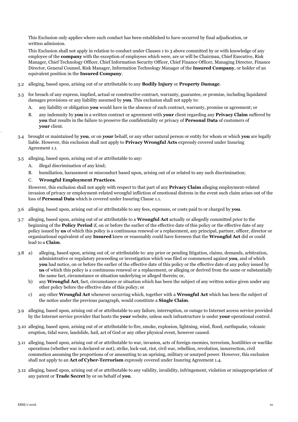This Exclusion only applies where such conduct has been established to have occurred by final adjudication, or written admission.

This Exclusion shall not apply in relation to conduct under Clauses 1 to 3 above committed by or with knowledge of any employee of the **company** with the exception of employees which were, are or will be Chairman, Chief Executive, Risk Manager, Chief Technology Officer, Chief Information Security Officer, Chief Finance Officer, Managing Director, Finance Director, General Counsel, Risk Manager, Information Technology Manager of the **Insured Company**, or holder of an equivalent position in the **Insured Company**.

- 3.2 alleging, based upon, arising out of or attributable to any **Bodily Injury** or **Property Damage**.
- 3.3 for breach of any express, implied, actual or constructive contract, warranty, guarantee, or promise, including liquidated damages provisions or any liability assumed by **you**. This exclusion shall not apply to:
	- A. any liability or obligation **you** would have in the absence of such contract, warranty, promise or agreement; or
	- B. any indemnity by **you** in a written contract or agreement with **your** client regarding any **Privacy Claim** suffered by **you** that results in the failure to preserve the confidentiality or privacy of **Personal Data** of customers of **your** client.
- 3.4 brought or maintained by **you**, or on **your** behalf, or any other natural person or entity for whom or which **you** are legally liable. However, this exclusion shall not apply to **Privacy Wrongful Acts** expressly covered under Insuring Agreement 1.1.
- 3.5 alleging, based upon, arising out of or attributable to any:
	- A. illegal discrimination of any kind;
	- B. humiliation, harassment or misconduct based upon, arising out of or related to any such discrimination;

#### C. **Wrongful Employment Practices**.

However, this exclusion shall not apply with respect to that part of any **Privacy Claim** alleging employment-related invasion of privacy or employment-related wrongful infliction of emotional distress in the event such claim arises out of the loss of **Personal Data** which is covered under Insuring Clause 1.1.

- 3.6 alleging, based upon, arising out of or attributable to any fees, expenses, or costs paid to or charged by **you**.
- 3.7 alleging, based upon, arising out of or attributable to a **Wrongful Act** actually or allegedly committed prior to the beginning of the **Policy Period** if, on or before the earlier of the effective date of this policy or the effective date of any policy issued by **us** of which this policy is a continuous renewal or a replacement, any principal, partner, officer, director or organizational equivalent of any **Insured** knew or reasonably could have foreseen that the **Wrongful Act** did or could lead to a **Claim**.
- 3.8 a) alleging, based upon, arising out of, or attributable to: any prior or pending litigation, claims, demands, arbitration, administrative or regulatory proceeding or investigation which was filed or commenced against **you**, and of which **you** had notice, on or before the earlier of the effective date of this policy or the effective date of any policy issued by **us** of which this policy is a continuous renewal or a replacement, or alleging or derived from the same or substantially the same fact, circumstance or situation underlying or alleged therein; or,
	- b) any **Wrongful Act**, fact, circumstance or situation which has been the subject of any written notice given under any other policy before the effective date of this policy; or
	- c) any other **Wrongful Act** whenever occurring which, together with a **Wrongful Act** which has been the subject of the notice under the previous paragraph, would constitute a **Single Claim**.
- 3.9 alleging, based upon, arising out of or attributable to any failure, interruption, or outage to Internet access service provided by the Internet service provider that hosts the **your** website, unless such infrastructure is under **your** operational control.
- 3.10 alleging, based upon, arising out of or attributable to fire, smoke, explosion, lightning, wind, flood, earthquake, volcanic eruption, tidal wave, landslide, hail, act of God or any other physical event, however caused.
- 3.11 alleging, based upon, arising out of or attributable to war, invasion, acts of foreign enemies, terrorism, hostilities or warlike operations (whether war is declared or not), strike, lock-out, riot, civil war, rebellion, revolution, insurrection, civil commotion assuming the proportions of or amounting to an uprising, military or usurped power. However, this exclusion shall not apply to an **Act of Cyber-Terrorism** expressly covered under Insuring Agreement 1.4.
- 3.12 alleging, based upon, arising out of or attributable to any validity, invalidity, infringement, violation or misappropriation of any patent or **Trade Secret** by or on behalf of **you**.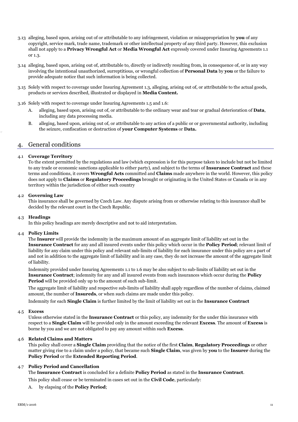- 3.13 alleging, based upon, arising out of or attributable to any infringement, violation or misappropriation by **you** of any copyright, service mark, trade name, trademark or other intellectual property of any third party. However, this exclusion shall not apply to a **Privacy Wrongful Act** or **Media Wrongful Act** expressly covered under Insuring Agreements 1.1 or 1.3.
- 3.14 alleging, based upon, arising out of, attributable to, directly or indirectly resulting from, in consequence of, or in any way involving the intentional unauthorized, surreptitious, or wrongful collection of **Personal Data** by **you** or the failure to provide adequate notice that such information is being collected.
- 3.15 Solely with respect to coverage under Insuring Agreement 1.3, alleging, arising out of, or attributable to the actual goods, products or services described, illustrated or displayed in **Media Content.**
- 3.16 Solely with respect to coverage under Insuring Agreements 1.5 and 1.6:
	- A. alleging, based upon, arising out of, or attributable to the ordinary wear and tear or gradual deterioration of **Data**, including any data processing media.
	- B. alleging, based upon, arising out of, or attributable to any action of a public or or governmental authority, including the seizure, confiscation or destruction of **your Computer Systems** or **Data.**

## 4. General conditions

#### 4.1 **Coverage Territory**

To the extent permitted by the regulations and law (which expression is for this purpose taken to include but not be limited to any trade or economic sanctions applicable to either party), and subject to the terms of **Insurance Contract** and these terms and conditions, it covers **Wrongful Acts** committed and **Claims** made anywhere in the world. However, this policy does not apply to **Claims** or **Regulatory Proceedings** brought or originating in the United States or Canada or in any territory within the jurisdiction of either such country

#### 4.2 **Governing Law**

This insurance shall be governed by Czech Law. Any dispute arising from or otherwise relating to this insurance shall be decided by the relevant court in the Czech Republic.

#### 4.3 **Headings**

In this policy headings are merely descriptive and not to aid interpretation.

#### 4.4 **Policy Limits**

The **Insurer** will provide the indemnity in the maximum amount of an aggregate limit of liability set out in the **Insurance Contract** for any and all insured events under this policy which occur in the **Policy Period**; relevant limit of liability for any claim under this policy and relevant sub-limits of liability for each insurance under this policy are a part of and not in addition to the aggregate limit of liability and in any case, they do not increase the amount of the aggregate limit of liability.

Indemnity provided under Insuring Agreements 1.1 to 1.6 may be also subject to sub-limits of liability set out in the **Insurance Contract**; indemnity for any and all insured events from such insurances which occur during the **Policy Period** will be provided only up to the amount of such sub-limit.

The aggregate limit of liability and respective sub-limits of liability shall apply regardless of the number of claims, claimed amount, the number of **Insureds**, or when such claims are made under this policy.

Indemnity for each **Single Claim** is further limited by the limit of liability set out in the **Insurance Contract**

#### 4.5 **Excess**

Unless otherwise stated in the **Insurance Contract** or this policy, any indemnity for the under this insurance with respect to a **Single Claim** will be provided only in the amount exceeding the relevant **Excess**. The amount of **Excess** is borne by you and we are not obligated to pay any amount within such **Excess**.

#### 4.6 **Related Claims and Matters**

This policy shall cover a **Single Claim** providing that the notice of the first **Claim**, **Regulatory Proceedings** or other matter giving rise to a claim under a policy, that became such **Single Claim**, was given by **you** to the **Insurer** during the **Policy Period** or the **Extended Reporting Period**.

#### 4.7 **Policy Period and Cancellation**

The **Insurance Contract** is concluded for a definite **Policy Period** as stated in the **Insurance Contract**.

This policy shall cease or be terminated in cases set out in the **Civil Code**, particularly:

A. by elapsing of the **Policy Period**;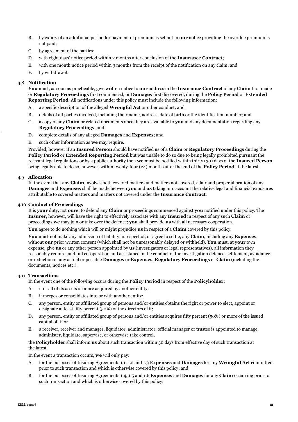- B. by expiry of an additional period for payment of premium as set out in **our** notice providing the overdue premium is not paid;
- C. by agreement of the parties;
- D. with eight days' notice period within 2 months after conclusion of the **Insurance Contract**;
- E. with one month notice period within 3 months from the receipt of the notification on any claim; and
- F. by withdrawal.

#### 4.8 **Notification**

**You** must, as soon as practicable, give written notice to **our** address in the **Insurance Contract** of any **Claim** first made or **Regulatory Proceedings** first commenced, or **Damages** first discovered, during the **Policy Period** or **Extended Reporting Period**. All notifications under this policy must include the following information:

- A. a specific description of the alleged **Wrongful Act** or other conduct; and
- B. details of all parties involved, including their name, address, date of birth or the identification number; and
- C. a copy of any **Claim** or related documents once they are available to **you** and any documentation regarding any **Regulatory Proceedings**; and
- D. complete details of any alleged **Damages** and **Expenses**; and
- E. such other information as **we** may require.

Provided, however if an **Insured Person** should have notified us of a **Claim** or **Regulatory Proceedings** during the **Policy Period** or **Extended Reporting Period** but was unable to do so due to being legally prohibited pursuant the relevant legal regulations or by a public authority then **we** must be notified within thirty (30) days of the **Insured Person** being legally able to do so, however, within twenty-four (24) months after the end of the **Policy Period** at the latest.

#### 4.9 **Allocation**

In the event that any **Claim** involves both covered matters and matters not covered, a fair and proper allocation of any **Damages** and **Expenses** shall be made between **you** and **us** taking into account the relative legal and financial exposures attributable to covered matters and matters not covered under the **Insurance Contract**.

#### 4.10 **Conduct of Proceedings**

It is **your** duty, not **ours**, to defend any **Claim** or proceedings commenced against **you** notified under this policy. The **Insurer**, however, will have the right to effectively associate with any **Insured** in respect of any such **Claim** or proceedings **we** may join or take over the defence; **you** shall provide **us** with all necessary cooperation.

**You** agree to do nothing which will or might prejudice **us** in respect of a **Claim** covered by this policy.

**You** must not make any admission of liability in respect of, or agree to settle, any **Claim**, including any **Expenses**, without **our** prior written consent (which shall not be unreasonably delayed or withheld). **You** must, at **your** own expense, give **us** or any other person appointed by **us** (investigators or legal representatives), all information they reasonably require, and full co-operation and assistance in the conduct of the investigation defence, settlement, avoidance or reduction of any actual or possible **Damages** or **Expenses**, **Regulatory Proceedings** or **Claim** (including the documents, notices etc.).

#### 4.11 **Transactions**

In the event one of the following occurs during the **Policy Period** in respect of the **Policyholder**:

- A. it or all of its assets is or are acquired by another entity;
- B. it merges or consolidates into or with another entity;
- C. any person, entity or affiliated group of persons and/or entities obtains the right or power to elect, appoint or designate at least fifty percent (50%) of the directors of it;
- D. any person, entity or affiliated group of persons and/or entities acquires fifty percent (50%) or more of the issued capital of it; or
- E. a receiver, receiver and manager, liquidator, administrator, official manager or trustee is appointed to manage, administer, liquidate, supervise, or otherwise take control,

#### the **Policyholder** shall inform **us** about such transaction within 30 days from effective day of such transaction at the latest.

In the event a transaction occurs, **we** will only pay:

- A. for the purposes of Insuring Agreements 1.1, 1.2 and 1.3 **Expenses** and **Damages** for any **Wrongful Act** committed prior to such transaction and which is otherwise covered by this policy; and
- B. for the purposes of Insuring Agreements 1.4, 1.5 and 1.6 **Expenses** and **Damages** for any **Claim** occurring prior to such transaction and which is otherwise covered by this policy.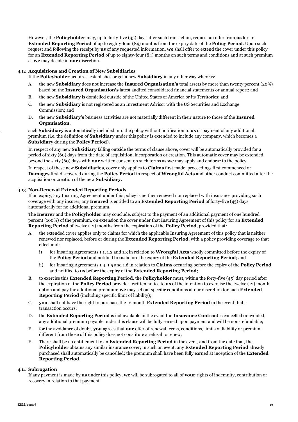However, the **Policyholder** may, up to forty-five (45) days after such transaction, request an offer from **us** for an **Extended Reporting Period** of up to eighty-four (84) months from the expiry date of the **Policy Period**. Upon such request and following the receipt by **us** of any requested information, **we** shall offer to extend the cover under this policy for an **Extended Reporting Period** of up to eighty-four (84) months on such terms and conditions and at such premium as **we** may decide in **our** discretion.

## 4.12 **Acquisitions and Creation of New Subsidiaries**

- If the **Policyholder** acquires, establishes or get a new **Subsidiary** in any other way whereas:
- A. the new **Subsidiary** does not increase the **Insured Organisation's** total assets by more than twenty percent (20%) based on the **Insured Organisation's** latest audited consolidated financial statements or annual report; and
- B. the new **Subsidiary** is domiciled outside of the United States of America or its Territories; and
- C. the new **Subsidiary** is not registered as an Investment Advisor with the US Securities and Exchange Commission; and
- D. the new **Subsidiary's** business activities are not materially different in their nature to those of the **Insured Organisation**,

such **Subsidiary** is automatically included into the policy without notification to **us** or payment of any additional premium (i.e. the definition of **Subsidiary** under this policy is extended to include any company, which becomes a **Subsidiary** during the **Policy Period**).

In respect of any new **Subsidiary** falling outside the terms of clause above, cover will be automatically provided for a period of sixty (60) days from the date of acquisition, incorporation or creation. This automatic cover may be extended beyond the sixty (60) days with **our** written consent on such terms as **we** may apply and endorse to the policy.

In respect of these new **Subsidiaries**, cover only applies to **Claims** first made, proceedings first commenced or **Damages** first discovered during the **Policy Period** in respect of **Wrongful Acts** and other conduct committed after the acquisition or creation of the new **Subsidiary**.

#### 4.13 **Non-Renewal Extended Reporting Periods**

If on expiry, any Insuring Agreement under this policy is neither renewed nor replaced with insurance providing such coverage with any insurer, any **Insured** is entitled to an **Extended Reporting Period** of forty-five (45) days automatically for no additional premium.

The **Insurer** and the **Policyholder** may conclude, subject to the payment of an additional payment of one hundred percent (100%) of the premium, on extension the cover under that Insuring Agreement of this policy for an **Extended Reporting Period** of twelve (12) months from the expiration of the **Policy Period**, provided that:

- A. the extended cover applies only to claims for which the applicable Insuring Agreement of this policy that is neither renewed nor replaced, before or during the **Extended Reporting Period**, with a policy providing coverage to that effect and:
	- i) for Insuring Agreements 1.1, 1.2 and 1.3 in relation to **Wrongful Acts** wholly committed before the expiry of the **Policy Period** and notified to **us** before the expiry of the **Extended Reporting Period**; and
	- ii) for Insuring Agreements 1.4, 1.5 and 1.6 in relation to **Claims** occurring before the expiry of the **Policy Period** and notified to **us** before the expiry of the **Extended Reporting Period**; .
- B. to exercise this **Extended Reporting Period**, the **Policyholder** must, within the forty-five (45) day period after the expiration of the **Policy Period** provide a written notice to **us** of the intention to exercise the twelve (12) month option and pay the additional premium; **we** may set out specific conditions at our discretion for such **Extended Reporting Period** (including specific limit of liability);
- C. **you** shall not have the right to purchase the 12 month **Extended Reporting Period** in the event that a transaction occurs;
- D. the **Extended Reporting Period** is not available in the event the **Insurance Contract** is cancelled or avoided; any additional premium payable under this clause will be fully earned upon payment and will be non-refundable;
- E. for the avoidance of doubt, **you** agrees that **our** offer of renewal terms, conditions, limits of liability or premium different from those of this policy does not constitute a refusal to renew;
- F. There shall be no entitlement to an **Extended Reporting Period** in the event, and from the date that, the **Policyholder** obtains any similar insurance cover; in such an event, any **Extended Reporting Period** already purchased shall automatically be cancelled; the premium shall have been fully earned at inception of the **Extended Reporting Period**.

#### 4.14 **Subrogation**

If any payment is made by **us** under this policy, **we** will be subrogated to all of **your** rights of indemnity, contribution or recovery in relation to that payment.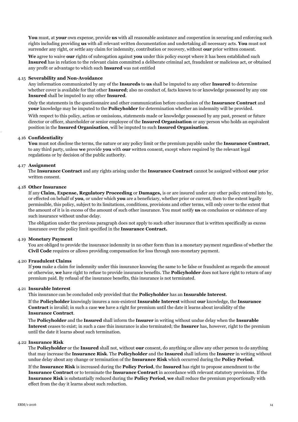**You** must, at **your** own expense, provide **us** with all reasonable assistance and cooperation in securing and enforcing such rights including providing **us** with all relevant written documentation and undertaking all necessary acts. **You** must not surrender any right, or settle any claim for indemnity, contribution or recovery, without **our** prior written consent.

**We** agree to waive **our** rights of subrogation against **you** under this policy except where it has been established such **Insured** has in relation to the relevant claim committed a deliberate criminal act, fraudulent or malicious act, or obtained any profit or advantage to which such **Insured** was not entitled

#### 4.15 **Severability and Non-Avoidance**

Any information communicated by any of the **Insureds** to **us** shall be imputed to any other **Insured** to determine whether cover is available for that other **Insured**; also no conduct of, facts known to or knowledge possessed by any one **Insured** shall be imputed to any other **Insured**.

Only the statements in the questionnaire and other communication before conclusion of the **Insurance Contract** and **your** knowledge may be imputed to the **Policyholder** for determination whether an indemnity will be provided.

With respect to this policy, action or omissions, statements made or knowledge possessed by any past, present or future director or officer, shareholder or senior employee of the **Insured Organisation** or any person who holds an equivalent position in the **Insured Organisation**, will be imputed to such **Insured Organisation**.

#### 4.16 **Confidentiality**

**You** must not disclose the terms, the nature or any policy limit or the premium payable under the **Insurance Contract**, to any third party, unless **we** provide **you** with **our** written consent, except where required by the relevant legal regulations or by decision of the public authority.

#### 4.17 **Assignment**

The **Insurance Contract** and any rights arising under the **Insurance Contract** cannot be assigned without **our** prior written consent.

#### 4.18 **Other Insurance**

If any **Claim, Expense, Regulatory Proceeding** or **Damages,** is or are insured under any other policy entered into by, or effected on behalf of **you**, or under which **you** are a beneficiary, whether prior or current, then to the extent legally permissible, this policy, subject to its limitations, conditions, provisions and other terms, will only cover to the extent that the amount of it is in excess of the amount of such other insurance. You must notify **us** on conclusion or existence of any such insurance without undue delay.

The obligation under the previous paragraph does not apply to such other insurance that is written specifically as excess insurance over the policy limit specified in the **Insurance Contract.**

#### 4.19 **Monetary Payment**

You are obliged to provide the insurance indemnity in no other form than in a monetary payment regardless of whether the **Civil Code** requires or allows providing compensation for loss through non-monetary payment.

#### 4.20 **Fraudulent Claims**

If **you** make a claim for indemnity under this insurance knowing the same to be false or fraudulent as regards the amount or otherwise, **we** have right to refuse to provide insurance benefits. The **Policyholder** does not have right to return of any premium paid. By refusal of the insurance benefits, this insurance is not terminated.

#### 4.21 **Insurable Interest**

This insurance can be concluded only provided that the **Policyholder** has an **Insurable Interest**.

If the **Policyholder** knowingly insures a non-existent **Insurable Interest** without **our** knowledge, the **Insurance Contract** is invalid; in such a case **we** have a right for premium until the date it learns about invalidity of the **Insurance Contract**.

The **Policyholder** and the **Insured** shall inform the **Insurer** in writing without undue delay when the **Insurable Interest** ceases to exist; in such a case this insurance is also terminated; the **Insurer** has, however, right to the premium until the date it learns about such termination.

#### 4.22 **Insurance Risk**

The **Policyholder** or the **Insured** shall not, without **our** consent, do anything or allow any other person to do anything that may increase the **Insurance Risk**. The **Policyholder** and the **Insured** shall inform the **Insurer** in writing without undue delay about any change or termination of the **Insurance Risk** which occurred during the **Policy Period**.

If the **Insurance Risk** is increased during the **Policy Period**, the **Insured** has right to propose amendment to the **Insurance Contract** or to terminate the **Insurance Contract** in accordance with relevant statutory provisions. If the **Insurance Risk** is substantially reduced during the **Policy Period**, **we** shall reduce the premium proportionally with effect from the day it learns about such reduction.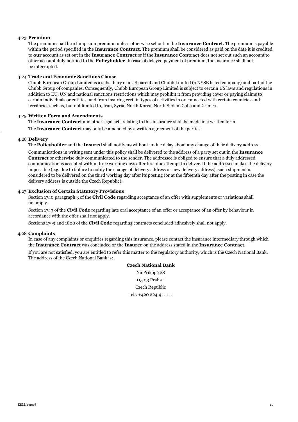#### 4.23 **Premium**

The premium shall be a lump sum premium unless otherwise set out in the **Insurance Contract**. The premium is payable within the period specified in the **Insurance Contract**. The premium shall be considered as paid on the date it is credited to **our** account as set out in the **Insurance Contract** or if the **Insurance Contract** does not set out such an account to other account duly notified to the **Policyholder**. In case of delayed payment of premium, the insurance shall not be interrupted.

#### 4.24 **Trade and Economic Sanctions Clause**

Chubb European Group Limited is a subsidiary of a US parent and Chubb Limited (a NYSE listed company) and part of the Chubb Group of companies. Consequently, Chubb European Group Limited is subject to certain US laws and regulations in addition to EU, UN and national sanctions restrictions which may prohibit it from providing cover or paying claims to certain individuals or entities, and from insuring certain types of activities in or connected with certain countries and territories such as, but not limited to, Iran, Syria, North Korea, North Sudan, Cuba and Crimea.

## 4.25 **Written Form and Amendments**

The **Insurance Contract** and other legal acts relating to this insurance shall be made in a written form.

The **Insurance Contract** may only be amended by a written agreement of the parties.

#### 4.26 **Delivery**

The **Policyholder** and the **Insured** shall notify **us** without undue delay about any change of their delivery address.

Communications in writing sent under this policy shall be delivered to the address of a party set out in the **Insurance Contract** or otherwise duly communicated to the sender. The addressee is obliged to ensure that a duly addressed communication is accepted within three working days after first due attempt to deliver. If the addressee makes the delivery impossible (e.g. due to failure to notify the change of delivery address or new delivery address), such shipment is considered to be delivered on the third working day after its posting (or at the fifteenth day after the posting in case the delivery address is outside the Czech Republic).

#### 4.27 **Exclusion of Certain Statutory Provisions**

Section 1740 paragraph 3 of the **Civil Code** regarding acceptance of an offer with supplements or variations shall not apply.

Section 1743 of the **Civil Code** regarding late oral acceptance of an offer or acceptance of an offer by behaviour in accordance with the offer shall not apply.

Sections 1799 and 1800 of the **Civil Code** regarding contracts concluded adhesively shall not apply.

#### 4.28 **Complaints**

In case of any complaints or enquiries regarding this insurance, please contact the insurance intermediary through which the **Insurance Contract** was concluded or the **Insurer** on the address stated in the **Insurance Contract**.

If you are not satisfied, you are entitled to refer this matter to the regulatory authority, which is the Czech National Bank. The address of the Czech National Bank is:

> **Czech National Bank** Na Příkopě 28 115 03 Praha 1 Czech Republic tel.: +420 224 411 111